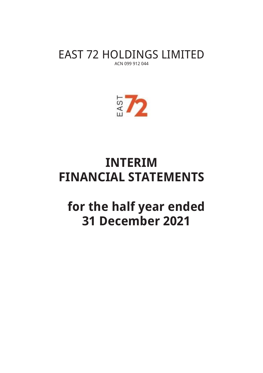EAST 72 HOLDINGS LIMITED ACN 099 912 044



# **INTERIM FINANCIAL STATEMENTS**

# **for the half year ended 31 December 2021**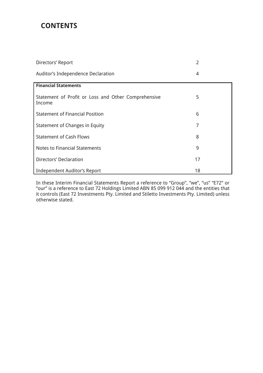## **CONTENTS**

| Directors' Report                                             | $\overline{2}$ |
|---------------------------------------------------------------|----------------|
| Auditor's Independence Declaration                            | 4              |
| <b>Financial Statements</b>                                   |                |
| Statement of Profit or Loss and Other Comprehensive<br>Income | 5              |
| <b>Statement of Financial Position</b>                        | 6              |
| Statement of Changes in Equity                                | 7              |
| <b>Statement of Cash Flows</b>                                | 8              |
| <b>Notes to Financial Statements</b>                          | 9              |
| <b>Directors' Declaration</b>                                 | 17             |
| <b>Independent Auditor's Report</b>                           | 18             |

In these Interim Financial Statements Report a reference to "Group", "we", "us" "E72" or "our" is a reference to East 72 Holdings Limited ABN 85 099 912 044 and the entities that it controls (East 72 Investments Pty. Limited and Stiletto Investments Pty. Limited) unless otherwise stated.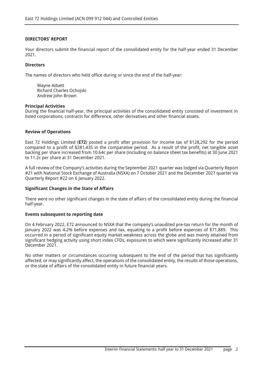## **DIRECTORS' REPORT**

Your directors submit the financial report of the consolidated entity for the half-year ended 31 December 2021.

### **Directors**

The names of directors who held office during or since the end of the half-year:

Wayne Adsett Richard Charles Ochojski Andrew John Brown

### **Principal Activities**

During the financial half-year, the principal activities of the consolidated entity consisted of investment in listed corporations, contracts for difference, other derivatives and other financial assets.

## **Review of Operations**

East 72 Holdings Limited (**E72**) posted a profit after provision for income tax of \$128,292 for the period compared to a profit of \$281,435 in the comparative period. As a result of the profit, net tangible asset backing per share increased from 10.64c per share (including on balance sheet tax benefits) at 30 June 2021 to 11.2c per share at 31 December 2021.

A full review of the Company's activities during the September 2021 quarter was lodged via Quarterly Report #21 with National Stock Exchange of Australia (NSXA) on 7 October 2021 and the December 2021 quarter via Quarterly Report #22 on 6 January 2022.

## **Significant Changes in the State of Affairs**

There were no other significant changes in the state of affairs of the consolidated entity during the financial half-year.

## **Events subsequent to reporting date**

On 4 February 2022, E72 announced to NSXA that the company's unaudited pre-tax return for the month of January 2022 was 4.2% before expenses and tax, equating to a profit before expenses of \$71,889. This occurred in a period of significant equity market weakness across the globe and was mainly attained from significant hedging activity using short index CFDs, exposures to which were significantly increased after 31 December 2021.

No other matters or circumstances occurring subsequent to the end of the period that has significantly affected, or may significantly affect, the operations of the consolidated entity, the results of those operations, or the state of affairs of the consolidated entity in future financial years.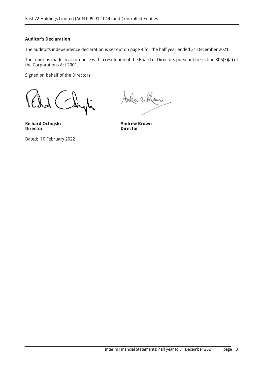## **Auditor's Declaration**

The auditor's independence declaration is set out on page 4 for the half year ended 31 December 2021.

The report is made in accordance with a resolution of the Board of Directors pursuant to section 306(3)(a) of the Corporations Act 2001.

Signed on behalf of the Directors:

я<br>А

**Richard Ochojski Andrew Brown Director** 

Dated: 10 February 2022

Avela J. Klom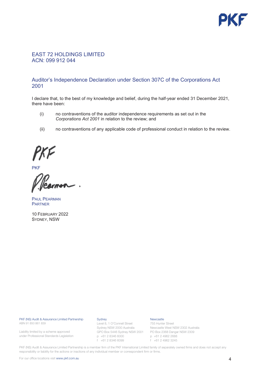

## EAST 72 HOLDINGS LIMITED ACN: 099 912 044

## Auditor's Independence Declaration under Section 307C of the Corporations Act 2001

I declare that, to the best of my knowledge and belief, during the half-year ended 31 December 2021, there have been:

- $(i)$  no contraventions of the auditor independence requirements as set out in the *Corporations Act 2001* in relation to the review; and
- (ii) no contraventions of any applicable code of professional conduct in relation to the review.

**PKF** 

**PAUL PEARMAN PARTNER** 

10 FEBRUARY 2022 SYDNEY, NSW

PKF (NS) Audit & Assurance Limited Partnership ABN 91 850 861 839

Liability limited by a scheme approved under Professional Standards Legislation

#### Sydney

Level 8, 1 O'Connell Street Sydney NSW 2000 Australia GPO Box 5446 Sydney NSW 2001 p +61 2 8346 6000 f +61 2 8346 6099

#### Newcastle

755 Hunter Street Newcastle West NSW 2302 Australia PO Box 2368 Dangar NSW 2309 p +61 2 4962 2688 f +61 2 4962 3245

 responsibility or liability for the actions or inactions of any individual member or correspondent firm or firms. PKF (NS) Audit & Assurance Limited Partnership is a member firm of the PKF International Limited family of separately owned firms and does not accept any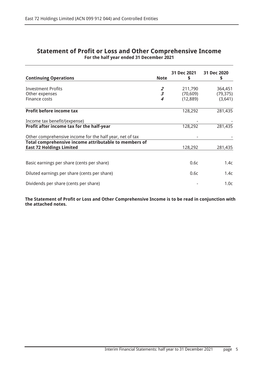|                                                          |                         | 31 Dec 2021 | 31 Dec 2020      |
|----------------------------------------------------------|-------------------------|-------------|------------------|
| <b>Continuing Operations</b>                             | <b>Note</b>             | S           | \$               |
|                                                          |                         |             |                  |
| <b>Investment Profits</b>                                | $\overline{2}$          | 211,790     | 364,451          |
| Other expenses                                           | $\overline{\mathbf{3}}$ | (70, 609)   | (79, 375)        |
| Finance costs                                            | 4                       | (12, 889)   | (3,641)          |
| Profit before income tax                                 |                         | 128,292     | 281,435          |
|                                                          |                         |             |                  |
| Income tax benefit/(expense)                             |                         |             |                  |
| Profit after income tax for the half-year                |                         | 128,292     | 281,435          |
|                                                          |                         |             |                  |
| Other comprehensive income for the half year, net of tax |                         |             |                  |
| Total comprehensive income attributable to members of    |                         |             |                  |
| <b>East 72 Holdings Limited</b>                          |                         | 128,292     | 281,435          |
|                                                          |                         |             |                  |
| Basic earnings per share (cents per share)               |                         | 0.6c        | 1.4c             |
| Diluted earnings per share (cents per share)             |                         | 0.6c        | 1.4c             |
| Dividends per share (cents per share)                    |                         |             | 1.0 <sub>c</sub> |

## **Statement of Profit or Loss and Other Comprehensive Income For the half year ended 31 December 2021**

**The Statement of Profit or Loss and Other Comprehensive Income is to be read in conjunction with the attached notes.**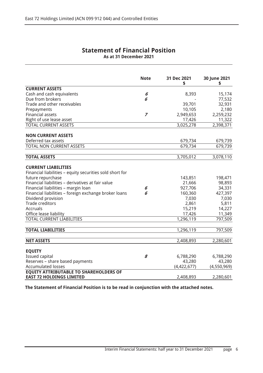| <b>Statement of Financial Position</b> |
|----------------------------------------|
| As at 31 December 2021                 |

|                                                                                                                                                                                                                                                                                                                                                                                                   | <b>Note</b>    | 31 Dec 2021<br>\$                                                                          | 30 June 2021<br>\$                                                                      |
|---------------------------------------------------------------------------------------------------------------------------------------------------------------------------------------------------------------------------------------------------------------------------------------------------------------------------------------------------------------------------------------------------|----------------|--------------------------------------------------------------------------------------------|-----------------------------------------------------------------------------------------|
| <b>CURRENT ASSETS</b>                                                                                                                                                                                                                                                                                                                                                                             |                |                                                                                            |                                                                                         |
| Cash and cash equivalents                                                                                                                                                                                                                                                                                                                                                                         | 6              | 8,393                                                                                      | 15,174                                                                                  |
| Due from brokers                                                                                                                                                                                                                                                                                                                                                                                  | 6              |                                                                                            | 77,532                                                                                  |
| Trade and other receivables                                                                                                                                                                                                                                                                                                                                                                       |                | 39,701                                                                                     | 32,931                                                                                  |
| Prepayments                                                                                                                                                                                                                                                                                                                                                                                       |                | 10,105                                                                                     | 2,180                                                                                   |
| <b>Financial assets</b>                                                                                                                                                                                                                                                                                                                                                                           | $\overline{z}$ | 2,949,653                                                                                  | 2,259,232                                                                               |
| Right of use lease asset                                                                                                                                                                                                                                                                                                                                                                          |                | 17,426                                                                                     | 11,322                                                                                  |
| <b>TOTAL CURRENT ASSETS</b>                                                                                                                                                                                                                                                                                                                                                                       |                | 3,025,278                                                                                  | 2,398,371                                                                               |
| <b>NON CURRENT ASSETS</b>                                                                                                                                                                                                                                                                                                                                                                         |                |                                                                                            |                                                                                         |
| Deferred tax assets                                                                                                                                                                                                                                                                                                                                                                               |                | 679,734                                                                                    | 679,739                                                                                 |
| <b>TOTAL NON CURRENT ASSETS</b>                                                                                                                                                                                                                                                                                                                                                                   |                | 679,734                                                                                    | 679,739                                                                                 |
| <b>TOTAL ASSETS</b>                                                                                                                                                                                                                                                                                                                                                                               |                | 3,705,012                                                                                  | 3,078,110                                                                               |
|                                                                                                                                                                                                                                                                                                                                                                                                   |                |                                                                                            |                                                                                         |
| <b>CURRENT LIABILITIES</b><br>Financial liabilities - equity securities sold short for<br>future repurchase<br>Financial liabilities - derivatives at fair value<br>Financial liabilities - margin loan<br>Financial liabilities - foreign exchange broker loans<br>Dividend provision<br><b>Trade creditors</b><br><b>Accruals</b><br>Office lease liability<br><b>TOTAL CURRENT LIABILITIES</b> | 6<br>6         | 143,851<br>21,666<br>927,706<br>160,360<br>7,030<br>2,861<br>15,219<br>17,426<br>1,296,119 | 198,471<br>98,893<br>34,331<br>427,397<br>7,030<br>5,811<br>14,227<br>11,349<br>797,509 |
|                                                                                                                                                                                                                                                                                                                                                                                                   |                |                                                                                            |                                                                                         |
| <b>TOTAL LIABILITIES</b>                                                                                                                                                                                                                                                                                                                                                                          |                | 1,296,119                                                                                  | 797,509                                                                                 |
| <b>NET ASSETS</b>                                                                                                                                                                                                                                                                                                                                                                                 |                | 2,408,893                                                                                  | 2,280,601                                                                               |
| <b>EQUITY</b><br><b>Issued capital</b><br>Reserves - share based payments<br><b>Accumulated losses</b>                                                                                                                                                                                                                                                                                            | 8              | 6,788,290<br>43,280<br>(4,422,677)                                                         | 6,788,290<br>43,280<br>(4,550,969)                                                      |
| <b>EQUITY ATTRIBUTABLE TO SHAREHOLDERS OF</b><br><b>EAST 72 HOLDINGS LIMITED</b>                                                                                                                                                                                                                                                                                                                  |                | 2,408,893                                                                                  | 2,280,601                                                                               |

**The Statement of Financial Position is to be read in conjunction with the attached notes.**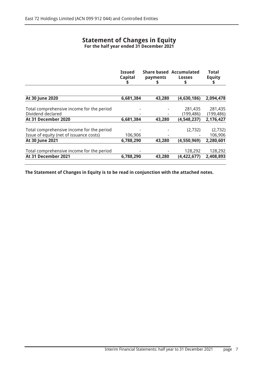## **Statement of Changes in Equity For the half year ended 31 December 2021**

|                                                                                      | <b>Issued</b><br><b>Capital</b><br>S | payments<br>S | <b>Share based Accumulated</b><br><b>Losses</b><br>S | <b>Total</b><br><b>Equity</b><br>S |
|--------------------------------------------------------------------------------------|--------------------------------------|---------------|------------------------------------------------------|------------------------------------|
|                                                                                      |                                      |               |                                                      |                                    |
| At 30 June 2020                                                                      | 6,681,384                            | 43,280        | (4,630,186)                                          | 2,094,478                          |
| Total comprehensive income for the period<br>Dividend declared                       |                                      |               | 281,435<br>(199, 486)                                | 281,435<br>(199, 486)              |
| At 31 December 2020                                                                  | 6,681,384                            | 43,280        | (4,548,237)                                          | 2,176,427                          |
| Total comprehensive income for the period<br>Issue of equity (net of issuance costs) | 106,906                              |               | (2,732)                                              | (2,732)<br>106,906                 |
| At 30 June 2021                                                                      | 6,788,290                            | 43,280        | (4,550,969)                                          | 2,280,601                          |
| Total comprehensive income for the period<br>At 31 December 2021                     | 6,788,290                            | 43,280        | 128,292<br>(4, 422, 677)                             | 128,292<br>2,408,893               |

**The Statement of Changes in Equity is to be read in conjunction with the attached notes.**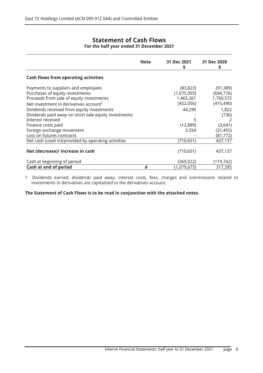## **Statement of Cash Flows For the half year ended 31 December 2021**

|                                                                                                                                                                                                                                                                                                                                                                                     | <b>Note</b> | 31 Dec 2021<br>S                                                                         | 31 Dec 2020<br>\$                                                                                              |
|-------------------------------------------------------------------------------------------------------------------------------------------------------------------------------------------------------------------------------------------------------------------------------------------------------------------------------------------------------------------------------------|-------------|------------------------------------------------------------------------------------------|----------------------------------------------------------------------------------------------------------------|
| <b>Cash flows from operating activities</b>                                                                                                                                                                                                                                                                                                                                         |             |                                                                                          |                                                                                                                |
| Payments to suppliers and employees<br>Purchases of equity investments<br>Proceeds from sale of equity investments<br>Net investment in derivatives account <sup>†</sup><br>Dividends received from equity investments<br>Dividends paid away on short sale equity investments<br>Interest received<br>Finance costs paid<br>Foreign exchange movement<br>Loss on futures contracts |             | (83, 823)<br>(1,675,093)<br>1,465,361<br>(452, 056)<br>44,290<br>5<br>(12, 889)<br>3,554 | (91, 389)<br>(694, 776)<br>1,760,572<br>(415, 490)<br>1,822<br>(736)<br>2<br>(3,641)<br>(31, 455)<br>(87, 772) |
| Net cash (used in)/provided by operating activities                                                                                                                                                                                                                                                                                                                                 |             | (710, 651)                                                                               | 437,137                                                                                                        |
| Net (decrease)/ increase in cash                                                                                                                                                                                                                                                                                                                                                    |             | (710, 651)                                                                               | 437,137                                                                                                        |
| Cash at beginning of period                                                                                                                                                                                                                                                                                                                                                         |             | (369, 022)                                                                               | (119, 742)                                                                                                     |
| Cash at end of period                                                                                                                                                                                                                                                                                                                                                               | 6           | (1,079,673)                                                                              | 317,395                                                                                                        |

 † Dividends earned, dividends paid away, interest costs, fees, charges and commissions related to investments in derivatives are capitalised to the derivatives account.

**The Statement of Cash Flows is to be read in conjunction with the attached notes.**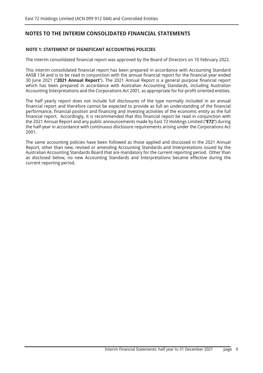## **NOTE 1: STATEMENT OF SIGNIFICANT ACCOUNTING POLICIES**

The interim consolidated financial report was approved by the Board of Directors on 10 February 2022.

This interim consolidated financial report has been prepared in accordance with Accounting Standard AASB 134 and is to be read in conjunction with the annual financial report for the financial year ended 30 June 2021 ("**2021 Annual Report**"). The 2021 Annual Report is a general purpose financial report which has been prepared in accordance with Australian Accounting Standards, including Australian Accounting Interpretations and the Corporations Act 2001, as appropriate for for-profit oriented entities.

The half yearly report does not include full disclosures of the type normally included in an annual financial report and therefore cannot be expected to provide as full an understanding of the financial performance, financial position and financing and investing activities of the economic entity as the full financial report. Accordingly, it is recommended that this financial report be read in conjunction with the 2021 Annual Report and any public announcements made by East 72 Holdings Limited ("**E72**") during the half-year in accordance with continuous disclosure requirements arising under the Corporations Act 2001.

The same accounting policies have been followed as those applied and discussed in the 2021 Annual Report, other than new, revised or amending Accounting Standards and Interpretations issued by the Australian Accounting Standards Board that are mandatory for the current reporting period. Other than as disclosed below, no new Accounting Standards and Interpretations became effective during the current reporting period.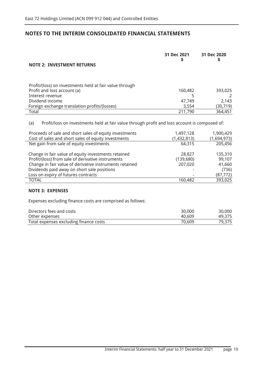| <b>NOTE 2: INVESTMENT RETURNS</b>                                                                    | 31 Dec 2021<br>\$ | 31 Dec 2020<br>\$ |
|------------------------------------------------------------------------------------------------------|-------------------|-------------------|
| Profit/(loss) on investments held at fair value through                                              |                   |                   |
| Profit and loss account (a)                                                                          | 160,482           | 393,025           |
| Interest revenue                                                                                     | 5                 |                   |
| Dividend income                                                                                      | 47,749            | 2,143             |
| Foreign exchange translation profits/(losses)                                                        | 3,554             | (30, 719)         |
| Total                                                                                                | 211,790           | 364,451           |
| Profit/loss on investments held at fair value through profit and loss account is composed of:<br>(a) |                   |                   |
| Proceeds of sale and short sales of equity investments                                               | 1,497,128         | 1,900,429         |
| Cost of sales and short sales of equity investments                                                  | (1,432,813)       | (1,694,973)       |
| Net gain from sale of equity investments                                                             | 64,315            | 205,456           |
|                                                                                                      |                   |                   |

| Change in fair value of equity investments retained     | 28,827                   | 135,310   |
|---------------------------------------------------------|--------------------------|-----------|
| Profit/(loss) from sale of derivative instruments       | (139,680)                | 99.107    |
| Change in fair value of derivative instruments retained | 207,020                  | 41,660    |
| Dividends paid away on short sale positions             |                          | (736)     |
| Loss on expiry of futures contracts                     | $\overline{\phantom{a}}$ | (87, 772) |
| TOTAL                                                   | 160,482                  | 393,025   |

## **NOTE 3: EXPENSES**

Expenses excluding finance costs are comprised as follows:

| Directors fees and costs               | 30,000 | 30,000 |
|----------------------------------------|--------|--------|
| Other expenses                         | 40.609 | 49,375 |
| Total expenses excluding finance costs | 70,609 | 79,375 |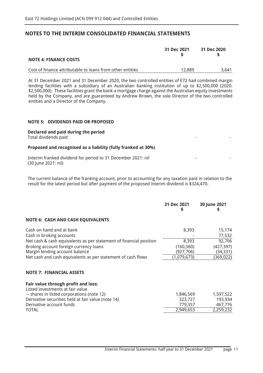|                                                           | 31 Dec 2021 | 31 Dec 2020 |
|-----------------------------------------------------------|-------------|-------------|
| <b>NOTE 4: FINANCE COSTS</b>                              |             |             |
| Cost of finance attributable to loans from other entities | 12.889      | 3.641       |

 At 31 December 2021 and 31 December 2020, the two controlled entities of E72 had combined margin lending facilities with a subsidiary of an Australian banking institution of up to \$2,500,000 (2020: \$2,500,000). These facilities grant the bank a mortgage charge against the Australian equity investments held by the Company, and are guaranteed by Andrew Brown, the sole Director of the two controlled entities and a Director of the Company.

## **NOTE 5: DIVIDENDS PAID OR PROPOSED**

## **Declared and paid during the period**

Total dividends paid

## **Proposed and recognised as a liability (fully franked at 30%)**

 Interim franked dividend for period to 31 December 2021: nil (30 June 2021: nil)

 The current balance of the franking account, prior to accounting for any taxation paid in relation to the result for the latest period but after payment of the proposed interim dividend is \$324,470.

|                                                                         | 31 Dec 2021<br>\$ | 30 June 2021 |
|-------------------------------------------------------------------------|-------------------|--------------|
| <b>NOTE 6: CASH AND CASH EQUIVALENTS</b>                                |                   |              |
| Cash on hand and at bank                                                | 8,393             | 15,174       |
| Cash in broking accounts                                                |                   | 77,532       |
| Net cash & cash equivalents as per statement of financial position      | 8,393             | 92,706       |
| Broking account foreign currency loans                                  | (160, 360)        | (427, 397)   |
| Margin lending account balance                                          | (927,706)         | (34, 331)    |
| Net cash and cash equivalents as per statement of cash flows            | (1,079,673)       | (369, 022)   |
| <b>NOTE 7: FINANCIAL ASSETS</b>                                         |                   |              |
| Fair value through profit and loss:<br>Listed investments at fair value |                   |              |
| - shares in listed corporations (note 12)                               | 1,846,569         | 1,597,522    |
| Derivative securities held at fair value (note 14)                      | 323,727           | 193,934      |
| Derivative account funds                                                | 779,357           | 467,776      |
| TOTAL                                                                   | 2,949,653         | 2,259,232    |

- -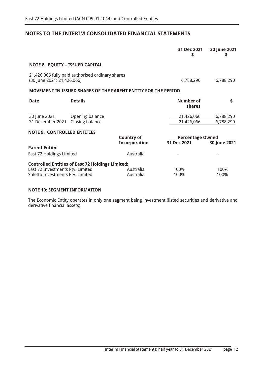|                                                                       |                                                               |                                           | 31 Dec 2021<br>S                       | 30 June 2021<br>\$     |
|-----------------------------------------------------------------------|---------------------------------------------------------------|-------------------------------------------|----------------------------------------|------------------------|
| <b>NOTE 8. EQUITY - ISSUED CAPITAL</b>                                |                                                               |                                           |                                        |                        |
| (30 June 2021: 21,426,066)                                            | 21,426,066 fully paid authorised ordinary shares              |                                           | 6,788,290                              | 6,788,290              |
|                                                                       | MOVEMENT IN ISSUED SHARES OF THE PARENT ENTITY FOR THE PERIOD |                                           |                                        |                        |
| <b>Date</b>                                                           | <b>Details</b>                                                |                                           | Number of<br>shares                    | \$                     |
| 30 June 2021<br>31 December 2021                                      | Opening balance<br>Closing balance                            |                                           | 21,426,066<br>21,426,066               | 6,788,290<br>6,788,290 |
| <b>NOTE 9. CONTROLLED ENTITIES</b>                                    |                                                               | <b>Country of</b><br><b>Incorporation</b> | <b>Percentage Owned</b><br>31 Dec 2021 | 30 June 2021           |
| <b>Parent Entity:</b><br>East 72 Holdings Limited                     |                                                               | Australia                                 |                                        |                        |
| East 72 Investments Pty. Limited<br>Stiletto Investments Pty. Limited | <b>Controlled Entities of East 72 Holdings Limited:</b>       | Australia<br>Australia                    | 100%<br>100%                           | 100%<br>100%           |

## **NOTE 10: SEGMENT INFORMATION**

The Economic Entity operates in only one segment being investment (listed securities and derivative and derivative financial assets).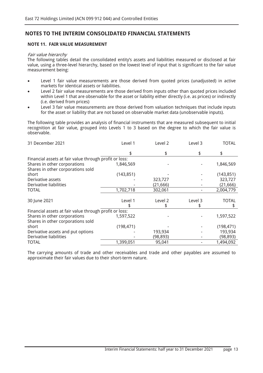## **NOTE 11. FAIR VALUE MEASUREMENT**

## Fair value hierarchy

The following tables detail the consolidated entity's assets and liabilities measured or disclosed at fair value, using a three-level hierarchy, based on the lowest level of input that is significant to the fair value measurement being:

- Level 1 fair value measurements are those derived from quoted prices (unadjusted) in active markets for identical assets or liabilities.
- Level 2 fair value measurements are those derived from inputs other than quoted prices included within Level 1 that are observable for the asset or liability either directly (i.e. as prices) or indirectly (i.e. derived from prices)
- Level 3 fair value measurements are those derived from valuation techniques that include inputs for the asset or liability that are not based on observable market data (unobservable inputs).

The following table provides an analysis of financial instruments that are measured subsequent to initial recognition at fair value, grouped into Levels 1 to 3 based on the degree to which the fair value is observable.

| 31 December 2021                                       | Level 1    | Level 2   | Level 3 | <b>TOTAL</b> |
|--------------------------------------------------------|------------|-----------|---------|--------------|
|                                                        | \$         | \$        | \$      | \$           |
| Financial assets at fair value through profit or loss: |            |           |         |              |
| Shares in other corporations                           | 1,846,569  |           |         | 1,846,569    |
| Shares in other corporations sold                      |            |           |         |              |
| short                                                  | (143, 851) |           |         | (143, 851)   |
| Derivative assets                                      |            | 323,727   |         | 323,727      |
| Derivative liabilities                                 |            | (21, 666) |         | (21, 666)    |
| TOTAL                                                  | 1,702,718  | 302,061   |         | 2,004,779    |
| 30 June 2021                                           | Level 1    | Level 2   | Level 3 | <b>TOTAL</b> |
|                                                        |            |           |         | \$           |
| Financial assets at fair value through profit or loss: |            |           |         |              |
| Shares in other corporations                           | 1,597,522  |           |         | 1,597,522    |
| Shares in other corporations sold                      |            |           |         |              |
| short                                                  | (198, 471) |           |         | (198, 471)   |
| Derivative assets and put options                      |            | 193,934   |         | 193,934      |
| Derivative liabilities                                 |            | (98,893)  |         | (98, 893)    |
| TOTAL                                                  | 1,399,051  | 95,041    |         | 1,494,092    |

The carrying amounts of trade and other receivables and trade and other payables are assumed to approximate their fair values due to their short-term nature.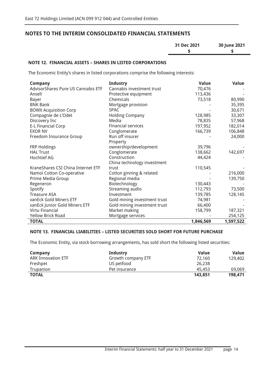| 31 Dec 2021 | 30 June 2021 |
|-------------|--------------|
|             |              |
|             |              |

## **NOTE 12. FINANCIAL ASSETS – SHARES IN LISTED CORPORATIONS**

The Economic Entity's shares in listed corporations comprise the following interests:

| <b>Company</b>                     | <b>Industry</b>              | <b>Value</b> | <b>Value</b> |
|------------------------------------|------------------------------|--------------|--------------|
| AdvisorShares Pure US Cannabis ETF | Cannabis investment trust    | 70,476       |              |
| Ansell                             | Protective equipment         | 113,436      |              |
| Bayer                              | Chemicals                    | 73,518       | 80,990       |
| <b>BNK Bank</b>                    | Mortgage provision           |              | 35,395       |
| <b>BOWX Acquisition Corp</b>       | <b>SPAC</b>                  |              | 30,671       |
| Compagnie de L'Odet                | <b>Holding Company</b>       | 128,985      | 33,307       |
| Discovery Inc                      | Media                        | 78,835       | 57,968       |
| <b>E-L Financial Corp</b>          | <b>Financial services</b>    | 197,952      | 182,014      |
| <b>EXOR NV</b>                     | Conglomerate                 | 166,739      | 106,848      |
| Freedom Insurance Group            | Run off insurer              |              | 24,000       |
|                                    | Property                     |              |              |
| <b>FRP Holdings</b>                | ownership/development        | 39,796       |              |
| <b>HAL Trust</b>                   | Conglomerate                 | 138,662      | 142,697      |
| <b>Hochtief AG</b>                 | Construction                 | 44,424       |              |
|                                    | China technology investment  |              |              |
| KraneShares CSI China Internet ETF | trust                        | 110,545      |              |
| Namoi Cotton Co-operative          | Cotton ginning & related     |              | 216,000      |
| Prime Media Group                  | Regional media               |              | 139,750      |
| Regeneron                          | Biotechnology                | 130,443      |              |
| Spotify                            | Streaming audio              | 112,793      | 73,500       |
| <b>Treasure ASA</b>                | Investment                   | 139,785      | 128,145      |
| vanEck Gold Miners ETF             | Gold mining investment trust | 74,981       |              |
| vanEck Junior Gold Miners ETF      | Gold mining investment trust | 66,400       |              |
| Virtu Financial                    | Market making                | 158,799      | 187,321      |
| <b>Yellow Brick Road</b>           | Mortgage services            |              | 254,125      |
| <b>TOTAL</b>                       |                              | 1,846,569    | 1,597,522    |

## **NOTE 13. FINANCIAL LIABILITIES – LISTED SECURITIES SOLD SHORT FOR FUTURE PURCHASE**

The Economic Entity, via stock borrowing arrangements, has sold short the following listed securities:

| Company                   | Industry           | <b>Value</b> | Value   |
|---------------------------|--------------------|--------------|---------|
| <b>ARK Innovation ETF</b> | Growth company ETF | 72,160       | 129,402 |
| Freshpet                  | US petfood         | 26,238       |         |
| Trupanion                 | Pet insurance      | 45.453       | 69.069  |
| <b>TOTAL</b>              |                    | 143,851      | 198,471 |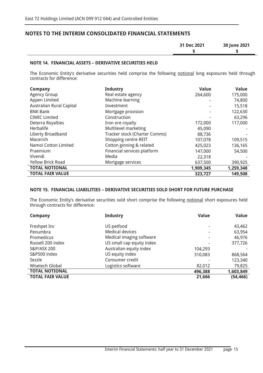| 31 Dec 2021 | 30 June 2021 |
|-------------|--------------|
|             |              |

## **NOTE 14. FINANCIAL ASSETS – DERIVATIVE SECURITIES HELD**

The Economic Entity's derivative securities held comprise the following <u>notional</u> long exposures held through contracts for difference:

| <b>Company</b>                  | <b>Industry</b>               | <b>Value</b> | <b>Value</b> |
|---------------------------------|-------------------------------|--------------|--------------|
| <b>Agency Group</b>             | Real estate agency            | 264,600      | 175,000      |
| Appen Limited                   | Machine learning              |              | 74,800       |
| <b>Australian Rural Capital</b> | Investment                    |              | 15,518       |
| <b>BNK Bank</b>                 | Mortgage provision            |              | 122,630      |
| <b>CIMIC Limited</b>            | Construction                  |              | 63,296       |
| Deterra Royalties               | Iron ore royalty              | 172,000      | 117,000      |
| Herbalife                       | Multilevel marketing          | 45,090       |              |
| Liberty Broadband               | Tracker stock (Charter Comms) | 88,736       |              |
| Macerich                        | Shopping centre REIT          | 107,078      | 109,515      |
| Namoi Cotton Limited            | Cotton ginning & related      | 425,023      | 136,165      |
| Praemium                        | Financial services platform   | 147,000      | 54,500       |
| Vivendi                         | Media                         | 22,318       |              |
| <b>Yellow Brick Road</b>        | Mortgage services             | 637,500      | 390,925      |
| <b>TOTAL NOTIONAL</b>           |                               | 1,909,345    | 1,259,348    |
| <b>TOTAL FAIR VALUE</b>         |                               | 323,727      | 149,508      |

## **NOTE 15. FINANCIAL LIABILITIES – DERIVATIVE SECURITIES SOLD SHORT FOR FUTURE PURCHASE**

The Economic Entity's derivative securities sold short comprise the following notional short exposures held through contracts for difference:

| Company                 | <b>Industry</b>           | <b>Value</b> | <b>Value</b> |
|-------------------------|---------------------------|--------------|--------------|
| Freshpet Inc            | US petfood                |              | 43,462       |
| Penumbra                | <b>Medical devices</b>    |              | 63,954       |
| Promedicus              | Medical imaging software  | ٠            | 46,976       |
| Russell 200 index       | US small cap equity index |              | 377,726      |
| S&P/ASX 200             | Australian equity index   | 104,293      |              |
| S&P500 index            | US equity index           | 310,083      | 868,564      |
| Sezzle                  | Consumer credit           |              | 123,340      |
| Wisetech Global         | Logistics software        | 82,012       | 79,825       |
| <b>TOTAL NOTIONAL</b>   |                           | 496,388      | 1,603,849    |
| <b>TOTAL FAIR VALUE</b> |                           | 21,666       | (54, 466)    |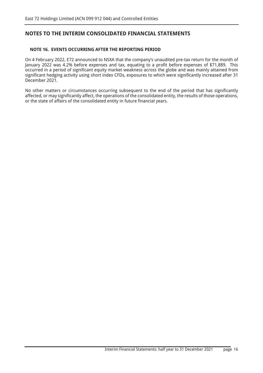## **NOTE 16. EVENTS OCCURRING AFTER THE REPORTING PERIOD**

On 4 February 2022, E72 announced to NSXA that the company's unaudited pre-tax return for the month of January 2022 was 4.2% before expenses and tax, equating to a profit before expenses of \$71,889. This occurred in a period of significant equity market weakness across the globe and was mainly attained from significant hedging activity using short index CFDs, exposures to which were significantly increased after 31 December 2021.

No other matters or circumstances occurring subsequent to the end of the period that has significantly affected, or may significantly affect, the operations of the consolidated entity, the results of those operations, or the state of affairs of the consolidated entity in future financial years.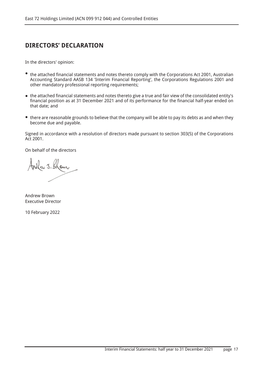## **DIRECTORS' DECLARATION**

In the directors' opinion:

- the attached financial statements and notes thereto comply with the Corporations Act 2001, Australian Accounting Standard AASB 134 'Interim Financial Reporting', the Corporations Regulations 2001 and other mandatory professional reporting requirements;
- the attached financial statements and notes thereto give a true and fair view of the consolidated entity's financial position as at 31 December 2021 and of its performance for the financial half-year ended on that date; and
- there are reasonable grounds to believe that the company will be able to pay its debts as and when they become due and payable.

Signed in accordance with a resolution of directors made pursuant to section 303(5) of the Corporations Act 2001.

On behalf of the directors

Nkr J. Klour

Andrew Brown Executive Director

10 February 2022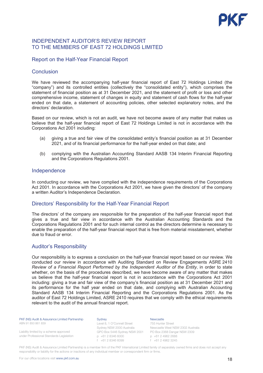

## INDEPENDENT AUDITOR'S REVIEW REPORT TO THE MEMBERS OF FAST 72 HOLDINGS LIMITED

## Report on the Half-Year Financial Report

## Conclusion

We have reviewed the accompanying half-year financial report of East 72 Holdings Limited (the "company") and its controlled entities (collectively the "consolidated entity"), which comprises the statement of financial position as at 31 December 2021, and the statement of profit or loss and other comprehensive income, statement of changes in equity and statement of cash flows for the half-year ended on that date, a statement of accounting policies, other selected explanatory notes, and the directors' declaration.

Based on our review, which is not an audit, we have not become aware of any matter that makes us believe that the half-year financial report of East 72 Holdings Limited is not in accordance with the Corporations Act 2001 including:

- (a) giving a true and fair view of the consolidated entity's financial position as at 31 December 2021, and of its financial performance for the half-year ended on that date; and
- (b) complying with the Australian Accounting Standard AASB 134 Interim Financial Reporting and the Corporations Regulations 2001.

## Independence

In conducting our review, we have complied with the independence requirements of the Corporations Act 2001. In accordance with the Corporations Act 2001, we have given the directors' of the company a written Auditor's Independence Declaration.

## Directors' Responsibility for the Half-Year Financial Report

The directors' of the company are responsible for the preparation of the half-year financial report that gives a true and fair view in accordance with the Australian Accounting Standards and the Corporations Regulations 2001 and for such internal control as the directors determine is necessary to enable the preparation of the half-year financial report that is free from material misstatement, whether due to fraud or error.

## Auditor's Responsibility

Our responsibility is to express a conclusion on the half-year financial report based on our review. We conducted our review in accordance with Auditing Standard on Review Engagements ASRE 2410 *Review of a Financial Report Performed by the Independent Auditor of the Entity* in order to state whether, on the basis of the procedures described, we have become aware of any matter that makes us believe that the half-year financial report is not in accordance with the Corporations Act 2001 including: giving a true and fair view of the company's financial position as at 31 December 2021 and its performance for the half year ended on that date, and complying with Australian Accounting Standard AASB 134 Interim Financial Reporting and the Corporations Regulations 2001. As the auditor of East 72 Holdings Limited, ASRE 2410 requires that we comply with the ethical requirements relevant to the audit of the annual financial report.

PKF (NS) Audit & Assurance Limited Partnership ABN 91 850 861 839

Liability limited by a scheme approved under Professional Standards Legislation

#### **Sydney**

Level 8, 1 O'Connell Street Sydney NSW 2000 Australia GPO Box 5446 Sydney NSW 2001 PO Box 2368 Dangar NSW 2309 p +61 2 8346 6000  $f +61$  2 8346 6099

**Newcastle** 

755 Hunter Street Newcastle West NSW 2302 Australia p +61 2 4962 2688  $f +61$  2 4962 3245

PKF (NS) Audit & Assurance Limited Partnership is a member firm of the PKF International Limited family of separately owned firms and does not accept any responsibility or liability for the actions or inactions of any individual member or correspondent firm or firms.